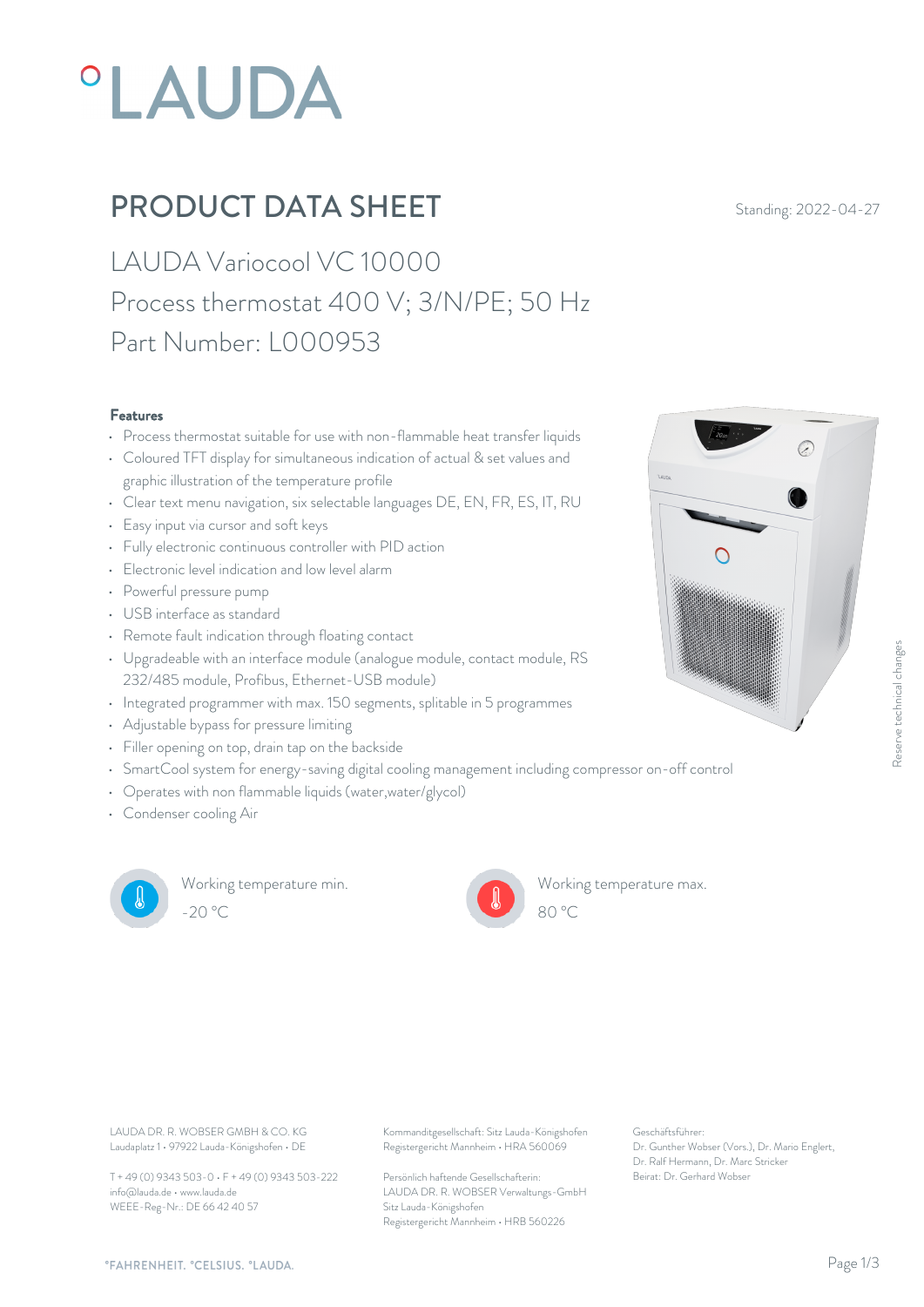# **°LAUDA**

## **PRODUCT DATA SHEET** Standing: 2022-04-27

LAUDA Variocool VC 10000 Process thermostat 400 V; 3/N/PE; 50 Hz Part Number: L000953

#### Features

- Process thermostat suitable for use with non-flammable heat transfer liquids
- Coloured TFT display for simultaneous indication of actual & set values and graphic illustration of the temperature profile
- Clear text menu navigation, six selectable languages DE, EN, FR, ES, IT, RU
- Easy input via cursor and soft keys
- Fully electronic continuous controller with PID action
- Electronic level indication and low level alarm
- Powerful pressure pump
- USB interface as standard
- Remote fault indication through floating contact
- Upgradeable with an interface module (analogue module, contact module, RS 232/485 module, Profibus, Ethernet-USB module)
- Integrated programmer with max. 150 segments, splitable in 5 programmes
- Adjustable bypass for pressure limiting
- Filler opening on top, drain tap on the backside
- SmartCool system for energy-saving digital cooling management including compressor on-off control
- Operates with non flammable liquids (water,water/glycol)
- Condenser cooling Air



Working temperature min. -20 °C 80 °C

Working temperature max.



Laudaplatz 1 • 97922 Lauda-Königshofen • DE

T + 49 (0) 9343 503-0 • F + 49 (0) 9343 503-222 info@lauda.de • www.lauda.de WEEE-Reg-Nr.: DE 66 42 40 57

LAUDA DR. R. WOBSER GMBH & CO. KG Kommanditgesellschaft: Sitz Lauda-Königshofen Geschäftsführer: Registergericht Mannheim • HRA 560069

> Persönlich haftende Gesellschafterin: Beirat: Dr. Gerhard Wobse LAUDA DR. R. WOBSER Verwaltungs-GmbH Sitz Lauda-Königshofen Registergericht Mannheim • HRB 560226

Geschäftsführer: Dr. Gunther Wobser (Vors.), Dr. Mario Englert, Dr. Ralf Hermann, Dr. Marc Stricker

80 °C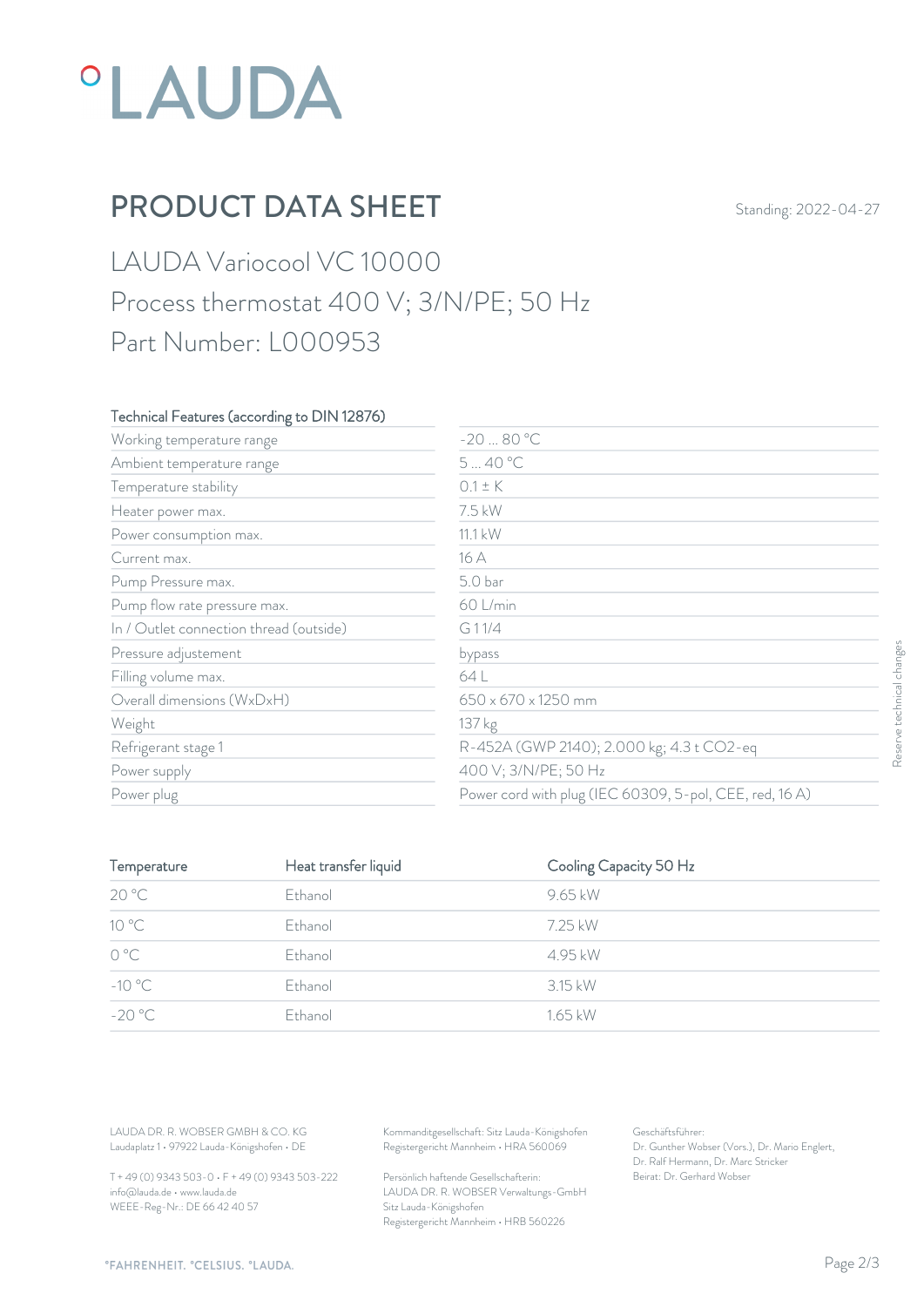# *°LAUDA*

## PRODUCT DATA SHEET Standing: 2022-04-27

## LAUDA Variocool VC 10000 Process thermostat 400 V; 3/N/PE; 50 Hz Part Number: L000953

### Technical Features (according to DIN 12876)

| Working temperature range               | $-2080 °C$                                              |                   |
|-----------------------------------------|---------------------------------------------------------|-------------------|
| Ambient temperature range               | 540 °C                                                  |                   |
| Temperature stability                   | $0.1 \pm K$                                             |                   |
| Heater power max.                       | 7.5 kW                                                  |                   |
| Power consumption max.                  | $11.1$ kW                                               |                   |
| Current max.                            | 16 A                                                    |                   |
| Pump Pressure max.                      | 5.0 bar                                                 |                   |
| Pump flow rate pressure max.            | 60 L/min                                                |                   |
| In / Outlet connection thread (outside) | G11/4                                                   |                   |
| Pressure adjustement                    | bypass                                                  |                   |
| Filling volume max.                     | 64 L                                                    |                   |
| Overall dimensions (WxDxH)              | 650 x 670 x 1250 mm                                     | technical changes |
| Weight                                  | 137 kg                                                  |                   |
| Refrigerant stage 1                     | R-452A (GWP 2140); 2.000 kg; 4.3 t CO2-eq               | Resen             |
| Power supply                            | 400 V; 3/N/PE; 50 Hz                                    |                   |
| Power plug                              | Power cord with plug (IEC 60309, 5-pol, CEE, red, 16 A) |                   |

| Pressure adjustement                                                             |                      | bypass                                                                                 |                                                                    |  |
|----------------------------------------------------------------------------------|----------------------|----------------------------------------------------------------------------------------|--------------------------------------------------------------------|--|
| Filling volume max.                                                              |                      | 64 L                                                                                   |                                                                    |  |
| Overall dimensions (WxDxH)                                                       |                      | 650 x 670 x 1250 mm                                                                    |                                                                    |  |
| Weight                                                                           |                      | 137 kg                                                                                 |                                                                    |  |
| Refrigerant stage 1                                                              |                      |                                                                                        | R-452A (GWP 2140); 2.000 kg; 4.3 t CO2-eq                          |  |
| Power supply                                                                     |                      | 400 V; 3/N/PE; 50 Hz                                                                   |                                                                    |  |
| Power plug                                                                       |                      |                                                                                        | Power cord with plug (IEC 60309, 5-pol, CEE, red, 16 A)            |  |
|                                                                                  |                      |                                                                                        |                                                                    |  |
| Temperature                                                                      | Heat transfer liquid |                                                                                        | Cooling Capacity 50 Hz                                             |  |
| 20 °C                                                                            | Ethanol              | 9.65 kW                                                                                |                                                                    |  |
| 10 °C                                                                            | Ethanol              | 7.25 kW                                                                                |                                                                    |  |
| $\mathrm{O}\ \mathrm{^oC}$                                                       | Ethanol              | 4.95 kW                                                                                |                                                                    |  |
| $-10^{\circ}$ C                                                                  | Ethanol              | 3.15 kW                                                                                |                                                                    |  |
| $-20 °C$                                                                         | Ethanol              | 1.65 kW                                                                                |                                                                    |  |
|                                                                                  |                      |                                                                                        |                                                                    |  |
|                                                                                  |                      |                                                                                        |                                                                    |  |
|                                                                                  |                      |                                                                                        |                                                                    |  |
| LAUDA DR. R. WOBSER GMBH & CO. KG<br>Laudaplatz 1 · 97922 Lauda-Königshofen · DE |                      | Kommanditgesellschaft: Sitz Lauda-Königshofen<br>Registergericht Mannheim · HRA 560069 | Geschäftsführer:<br>Dr. Gunther Wobser (Vors.), Dr. Mario Englert, |  |
| T + 49 (0) 9343 503-0 · F + 49 (0) 9343 503-222                                  |                      | Persönlich haftende Gesellschafterin:                                                  | Dr. Ralf Hermann, Dr. Marc Stricker<br>Beirat: Dr. Gerhard Wobser  |  |

T + 49 (0) 9343 503-0 • F + 49 (0) 9343 503-222 info@lauda.de • www.lauda.de WEEE-Reg-Nr.: DE 66 42 40 57

> Persönlich haftende Gesellschafterin: Beirat: Dr. Gerhard Wobser LAUDA DR. R. WOBSER Verwaltungs-GmbH Sitz Lauda-Königshofen Registergericht Mannheim • HRB 560226